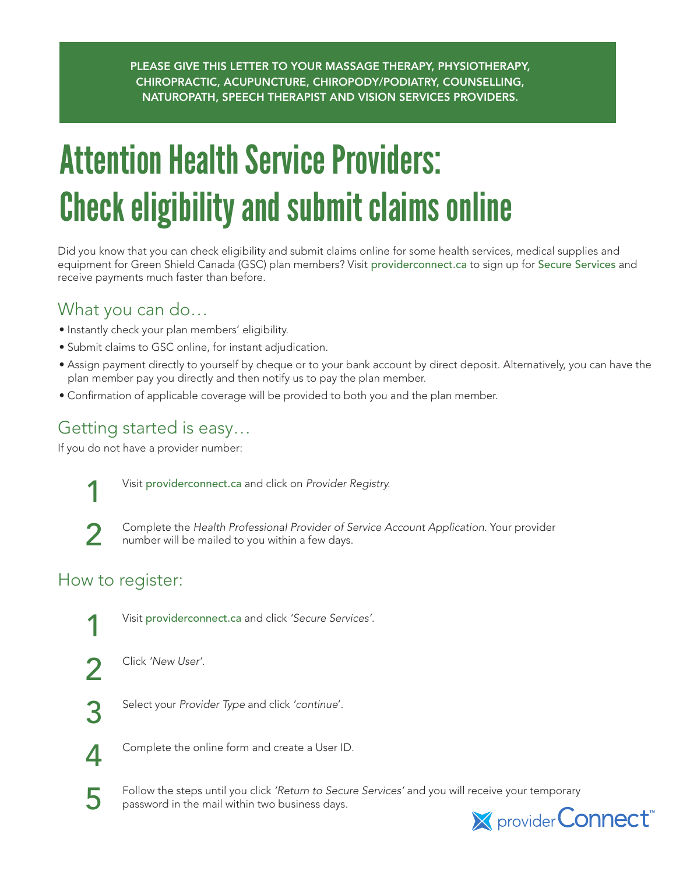PLEASE GIVE THIS LETTER TO YOUR MASSAGE THERAPY, PHYSIOTHERAPY, CHIROPRACTIC, ACUPUNCTURE, CHIROPODY/PODIATRY, COUNSELLING, NATUROPATH, SPEECH THERAPIST AND VISION SERVICES PROVIDERS.

# Attention Health Service Providers: Check eligibility and submit claims online

Did you know that you can check eligibility and submit claims online for some health services, medical supplies and equipment for Green Shield Canada (GSC) plan members? Visit providerconnect.ca to sign up for Secure Services and receive payments much faster than before.

#### What you can do…

- Instantly check your plan members' eligibility.
- Submit claims to GSC online, for instant adjudication.
- Assign payment directly to yourself by cheque or to your bank account by direct deposit. Alternatively, you can have the plan member pay you directly and then notify us to pay the plan member.
- Confirmation of applicable coverage will be provided to both you and the plan member.

## Getting started is easy…

If you do not have a provider number:



1 Visit providerconnect.ca and click on *Provider Registry.*



2 Complete the *Health Professional Provider of Service Account Application*. Your provider<br>2 **2** Europer will be mailed to you within a few days number will be mailed to you within a few days.

## How to register:



1 Visit providerconnect.ca and click *'Secure Services'*.



2 Click *'New User'*.

3 Select your *Provider Type* and click *'continue*'.



**4** Complete the online form and create a User ID.

5 Follow the steps until you click *'Return to Secure Services'* and you will receive your temporary<br>provider Connect<sup>"</sup><br>provider Connect" password in the mail within two business days.